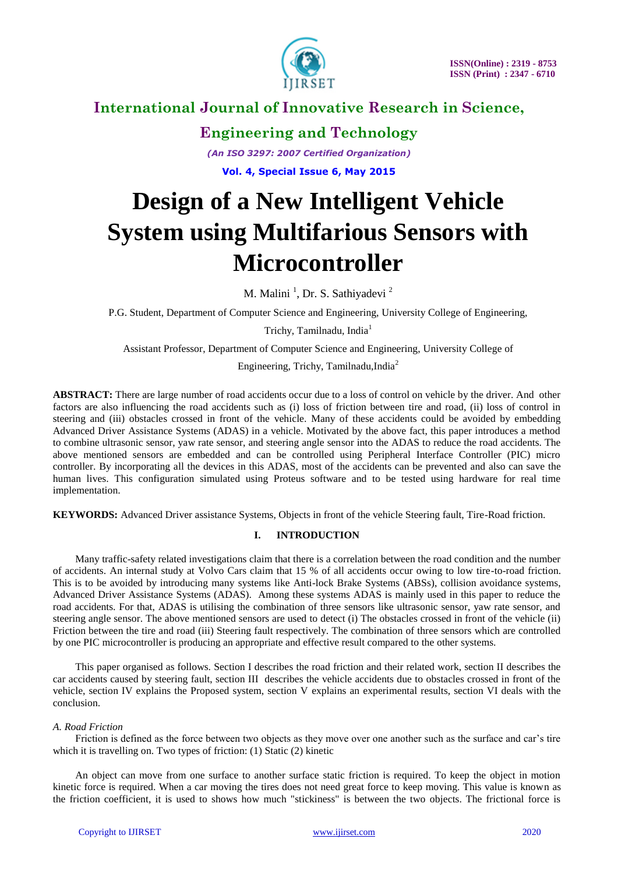

**Engineering and Technology**

*(An ISO 3297: 2007 Certified Organization)*

**Vol. 4, Special Issue 6, May 2015**

# **Design of a New Intelligent Vehicle System using Multifarious Sensors with Microcontroller**

M. Malini<sup>1</sup>, Dr. S. Sathiyadevi<sup>2</sup>

P.G. Student, Department of Computer Science and Engineering, University College of Engineering,

Trichy, Tamilnadu, India<sup>1</sup>

Assistant Professor, Department of Computer Science and Engineering, University College of

Engineering, Trichy, Tamilnadu,India<sup>2</sup>

**ABSTRACT:** There are large number of road accidents occur due to a loss of control on vehicle by the driver. And other factors are also influencing the road accidents such as (i) loss of friction between tire and road, (ii) loss of control in steering and (iii) obstacles crossed in front of the vehicle. Many of these accidents could be avoided by embedding Advanced Driver Assistance Systems (ADAS) in a vehicle. Motivated by the above fact, this paper introduces a method to combine ultrasonic sensor, yaw rate sensor, and steering angle sensor into the ADAS to reduce the road accidents. The above mentioned sensors are embedded and can be controlled using Peripheral Interface Controller (PIC) micro controller. By incorporating all the devices in this ADAS, most of the accidents can be prevented and also can save the human lives. This configuration simulated using Proteus software and to be tested using hardware for real time implementation.

**KEYWORDS:** Advanced Driver assistance Systems, Objects in front of the vehicle Steering fault, Tire-Road friction.

### **I. INTRODUCTION**

Many traffic-safety related investigations claim that there is a correlation between the road condition and the number of accidents. An internal study at Volvo Cars claim that 15 % of all accidents occur owing to low tire-to-road friction. This is to be avoided by introducing many systems like Anti-lock Brake Systems (ABSs), collision avoidance systems, Advanced Driver Assistance Systems (ADAS). Among these systems ADAS is mainly used in this paper to reduce the road accidents. For that, ADAS is utilising the combination of three sensors like ultrasonic sensor, yaw rate sensor, and steering angle sensor. The above mentioned sensors are used to detect (i) The obstacles crossed in front of the vehicle (ii) Friction between the tire and road (iii) Steering fault respectively. The combination of three sensors which are controlled by one PIC microcontroller is producing an appropriate and effective result compared to the other systems.

This paper organised as follows. Section I describes the road friction and their related work, section II describes the car accidents caused by steering fault, section III describes the vehicle accidents due to obstacles crossed in front of the vehicle, section IV explains the Proposed system, section V explains an experimental results, section VI deals with the conclusion.

### *A. Road Friction*

Friction is defined as the force between two objects as they move over one another such as the surface and car's tire which it is travelling on. Two types of friction: (1) Static (2) kinetic

An object can move from one surface to another surface static friction is required. To keep the object in motion kinetic force is required. When a car moving the tires does not need great force to keep moving. This value is known as the friction coefficient, it is used to shows how much "stickiness" is between the two objects. The frictional force is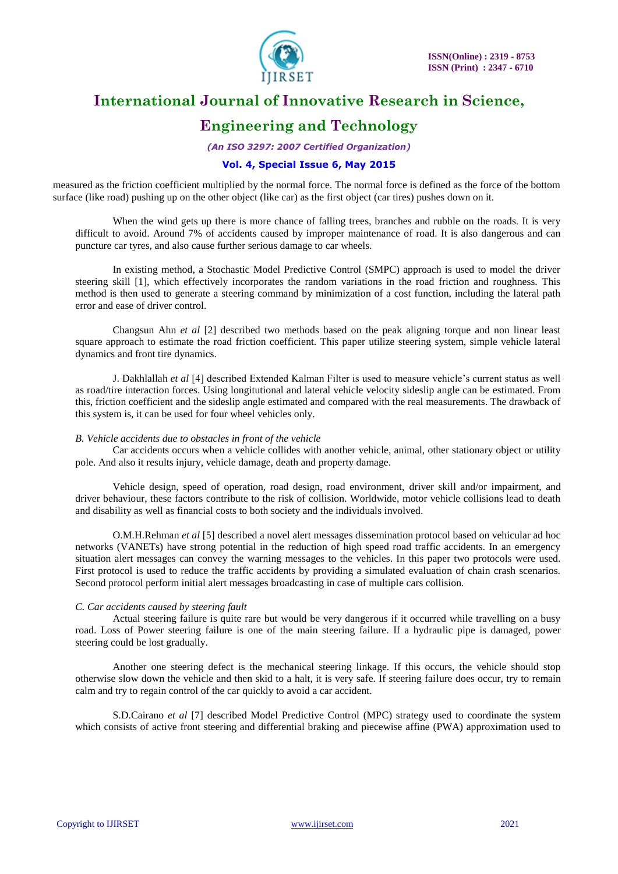

### **Engineering and Technology**

*(An ISO 3297: 2007 Certified Organization)*

### **Vol. 4, Special Issue 6, May 2015**

measured as the friction coefficient multiplied by the normal force. The normal force is defined as the force of the bottom surface (like road) pushing up on the other object (like car) as the first object (car tires) pushes down on it.

When the wind gets up there is more chance of falling trees, branches and rubble on the roads. It is very difficult to avoid. Around 7% of accidents caused by improper maintenance of road. It is also dangerous and can puncture car tyres, and also cause further serious damage to car wheels.

In existing method, a Stochastic Model Predictive Control (SMPC) approach is used to model the driver steering skill [1], which effectively incorporates the random variations in the road friction and roughness. This method is then used to generate a steering command by minimization of a cost function, including the lateral path error and ease of driver control.

Changsun Ahn *et al* [2] described two methods based on the peak aligning torque and non linear least square approach to estimate the road friction coefficient. This paper utilize steering system, simple vehicle lateral dynamics and front tire dynamics.

J. Dakhlallah *et al* [4] described Extended Kalman Filter is used to measure vehicle"s current status as well as road/tire interaction forces. Using longitutional and lateral vehicle velocity sideslip angle can be estimated. From this, friction coefficient and the sideslip angle estimated and compared with the real measurements. The drawback of this system is, it can be used for four wheel vehicles only.

### *B. Vehicle accidents due to obstacles in front of the vehicle*

Car accidents occurs when a vehicle collides with another vehicle, animal, other stationary object or utility pole. And also it results injury, vehicle damage, death and property damage.

Vehicle design, speed of operation, road design, road environment, driver skill and/or impairment, and driver behaviour, these factors contribute to the risk of collision. Worldwide, motor vehicle collisions lead to death and disability as well as financial costs to both society and the individuals involved.

O.M.H.Rehman *et al* [5] described a novel alert messages dissemination protocol based on vehicular ad hoc networks (VANETs) have strong potential in the reduction of high speed road traffic accidents. In an emergency situation alert messages can convey the warning messages to the vehicles. In this paper two protocols were used. First protocol is used to reduce the traffic accidents by providing a simulated evaluation of chain crash scenarios. Second protocol perform initial alert messages broadcasting in case of multiple cars collision.

### *C. Car accidents caused by steering fault*

Actual steering failure is quite rare but would be very dangerous if it occurred while travelling on a busy road. Loss of Power steering failure is one of the main steering failure. If a hydraulic pipe is damaged, power steering could be lost gradually.

Another one steering defect is the mechanical steering linkage. If this occurs, the vehicle should stop otherwise slow down the vehicle and then skid to a halt, it is very safe. If steering failure does occur, try to remain calm and try to regain control of the car quickly to avoid a car accident.

S.D.Cairano *et al* [7] described Model Predictive Control (MPC) strategy used to coordinate the system which consists of active front steering and differential braking and piecewise affine (PWA) approximation used to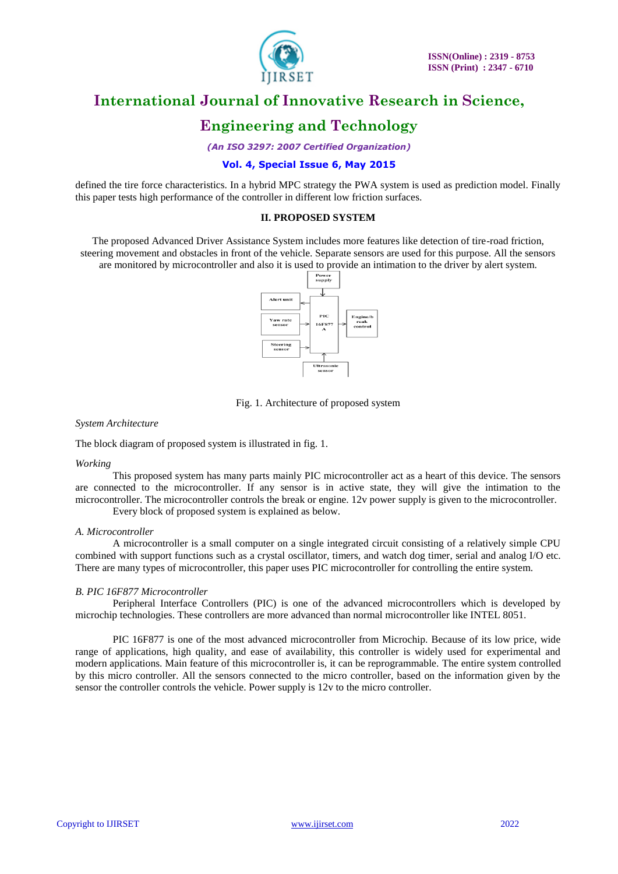

# **Engineering and Technology**

*(An ISO 3297: 2007 Certified Organization)*

### **Vol. 4, Special Issue 6, May 2015**

defined the tire force characteristics. In a hybrid MPC strategy the PWA system is used as prediction model. Finally this paper tests high performance of the controller in different low friction surfaces.

### **II. PROPOSED SYSTEM**

The proposed Advanced Driver Assistance System includes more features like detection of tire-road friction, steering movement and obstacles in front of the vehicle. Separate sensors are used for this purpose. All the sensors are monitored by microcontroller and also it is used to provide an intimation to the driver by alert system.



Fig. 1. Architecture of proposed system

#### *System Architecture*

The block diagram of proposed system is illustrated in fig. 1.

#### *Working*

This proposed system has many parts mainly PIC microcontroller act as a heart of this device. The sensors are connected to the microcontroller. If any sensor is in active state, they will give the intimation to the microcontroller. The microcontroller controls the break or engine. 12v power supply is given to the microcontroller. Every block of proposed system is explained as below.

#### *A. Microcontroller*

A microcontroller is a small computer on a single integrated circuit consisting of a relatively simple CPU combined with support functions such as a crystal oscillator, timers, and watch dog timer, serial and analog I/O etc. There are many types of microcontroller, this paper uses PIC microcontroller for controlling the entire system.

### *B. PIC 16F877 Microcontroller*

Peripheral Interface Controllers (PIC) is one of the advanced microcontrollers which is developed by microchip technologies. These controllers are more advanced than normal microcontroller like INTEL 8051.

PIC 16F877 is one of the most advanced microcontroller from Microchip. Because of its low price, wide range of applications, high quality, and ease of availability, this controller is widely used for experimental and modern applications. Main feature of this microcontroller is, it can be reprogrammable. The entire system controlled by this micro controller. All the sensors connected to the micro controller, based on the information given by the sensor the controller controls the vehicle. Power supply is 12v to the micro controller.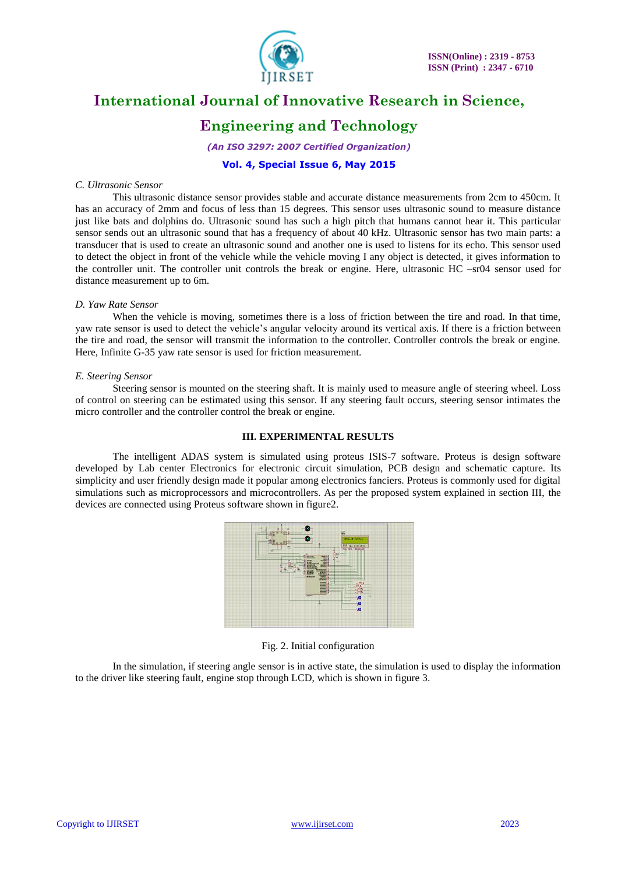

# **Engineering and Technology**

*(An ISO 3297: 2007 Certified Organization)*

### **Vol. 4, Special Issue 6, May 2015**

#### *C. Ultrasonic Sensor*

This ultrasonic distance sensor provides stable and accurate distance measurements from 2cm to 450cm. It has an accuracy of 2mm and focus of less than 15 degrees. This sensor uses ultrasonic sound to measure distance just like bats and dolphins do. Ultrasonic sound has such a high pitch that humans cannot hear it. This particular sensor sends out an ultrasonic sound that has a frequency of about 40 kHz. Ultrasonic sensor has two main parts: a transducer that is used to create an ultrasonic sound and another one is used to listens for its echo. This sensor used to detect the object in front of the vehicle while the vehicle moving I any object is detected, it gives information to the controller unit. The controller unit controls the break or engine. Here, ultrasonic HC –sr04 sensor used for distance measurement up to 6m.

#### *D. Yaw Rate Sensor*

When the vehicle is moving, sometimes there is a loss of friction between the tire and road. In that time, yaw rate sensor is used to detect the vehicle"s angular velocity around its vertical axis. If there is a friction between the tire and road, the sensor will transmit the information to the controller. Controller controls the break or engine. Here, Infinite G-35 yaw rate sensor is used for friction measurement.

#### *E. Steering Sensor*

Steering sensor is mounted on the steering shaft. It is mainly used to measure angle of steering wheel. Loss of control on steering can be estimated using this sensor. If any steering fault occurs, steering sensor intimates the micro controller and the controller control the break or engine.

### **III. EXPERIMENTAL RESULTS**

The intelligent ADAS system is simulated using proteus ISIS-7 software. Proteus is design software developed by Lab center Electronics for electronic circuit simulation, PCB design and schematic capture. Its simplicity and user friendly design made it popular among electronics fanciers. Proteus is commonly used for digital simulations such as microprocessors and microcontrollers. As per the proposed system explained in section III, the devices are connected using Proteus software shown in figure2.



Fig. 2. Initial configuration

In the simulation, if steering angle sensor is in active state, the simulation is used to display the information to the driver like steering fault, engine stop through LCD, which is shown in figure 3.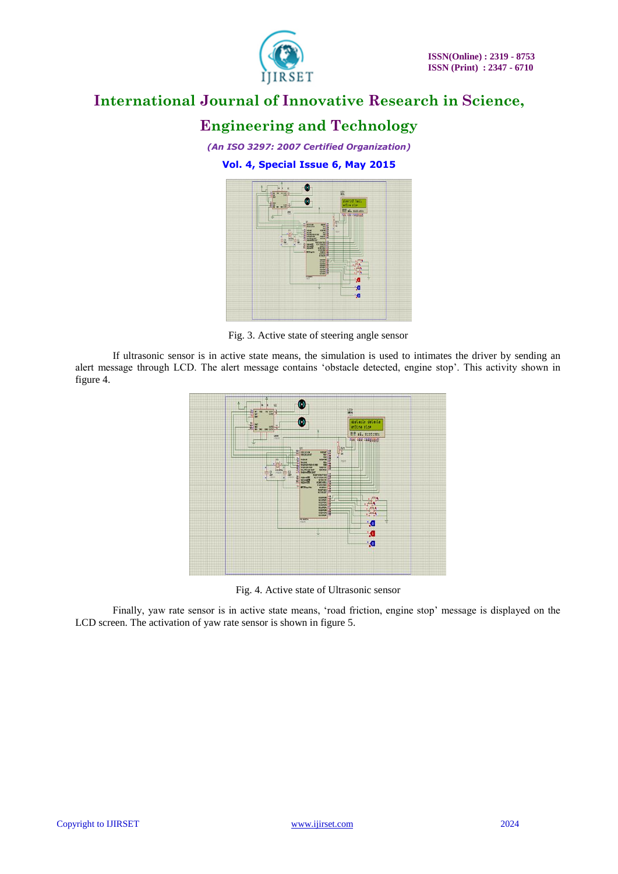

# **Engineering and Technology**

*(An ISO 3297: 2007 Certified Organization)* **Vol. 4, Special Issue 6, May 2015**



Fig. 3. Active state of steering angle sensor

If ultrasonic sensor is in active state means, the simulation is used to intimates the driver by sending an alert message through LCD. The alert message contains 'obstacle detected, engine stop'. This activity shown in figure 4.



Fig. 4. Active state of Ultrasonic sensor

Finally, yaw rate sensor is in active state means, 'road friction, engine stop' message is displayed on the LCD screen. The activation of yaw rate sensor is shown in figure 5.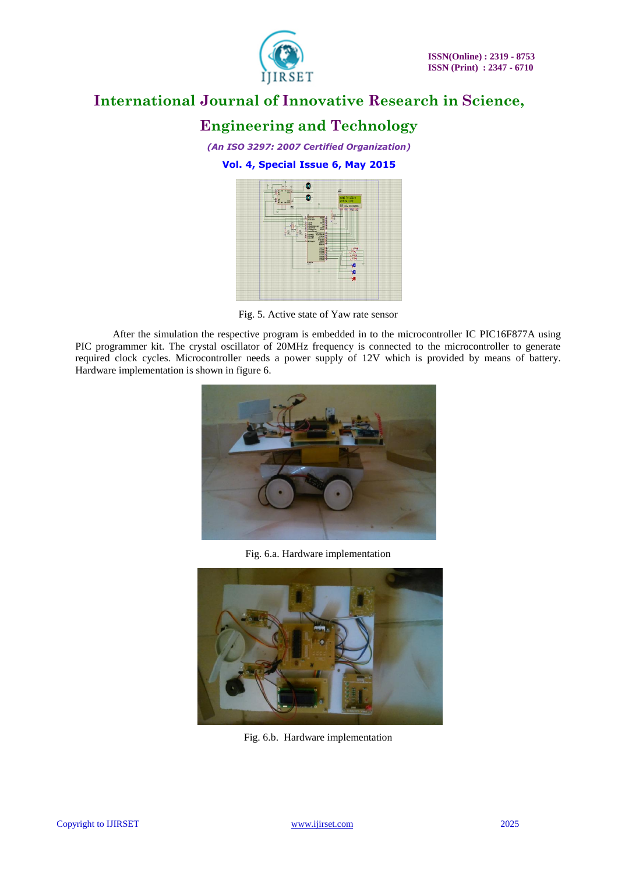

# **Engineering and Technology**

*(An ISO 3297: 2007 Certified Organization)* **Vol. 4, Special Issue 6, May 2015**



Fig. 5. Active state of Yaw rate sensor

After the simulation the respective program is embedded in to the microcontroller IC PIC16F877A using PIC programmer kit. The crystal oscillator of 20MHz frequency is connected to the microcontroller to generate required clock cycles. Microcontroller needs a power supply of 12V which is provided by means of battery. Hardware implementation is shown in figure 6.



Fig. 6.a. Hardware implementation



Fig. 6.b. Hardware implementation